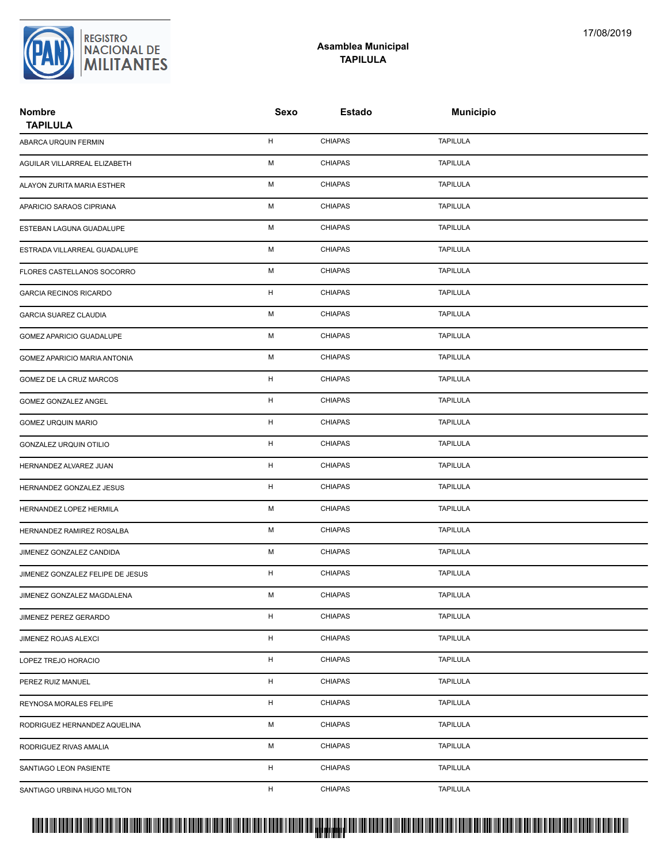

## **Asamblea Municipal TAPILULA**

| <b>Nombre</b><br><b>TAPILULA</b> | Sexo        | <b>Estado</b>  | <b>Municipio</b> |  |
|----------------------------------|-------------|----------------|------------------|--|
| ABARCA URQUIN FERMIN             | н           | <b>CHIAPAS</b> | <b>TAPILULA</b>  |  |
| AGUILAR VILLARREAL ELIZABETH     | М           | <b>CHIAPAS</b> | <b>TAPILULA</b>  |  |
| ALAYON ZURITA MARIA ESTHER       | М           | <b>CHIAPAS</b> | <b>TAPILULA</b>  |  |
| APARICIO SARAOS CIPRIANA         | М           | <b>CHIAPAS</b> | <b>TAPILULA</b>  |  |
| ESTEBAN LAGUNA GUADALUPE         | М           | <b>CHIAPAS</b> | <b>TAPILULA</b>  |  |
| ESTRADA VILLARREAL GUADALUPE     | М           | <b>CHIAPAS</b> | <b>TAPILULA</b>  |  |
| FLORES CASTELLANOS SOCORRO       | М           | <b>CHIAPAS</b> | <b>TAPILULA</b>  |  |
| <b>GARCIA RECINOS RICARDO</b>    | H           | <b>CHIAPAS</b> | <b>TAPILULA</b>  |  |
| <b>GARCIA SUAREZ CLAUDIA</b>     | М           | <b>CHIAPAS</b> | <b>TAPILULA</b>  |  |
| GOMEZ APARICIO GUADALUPE         | М           | <b>CHIAPAS</b> | <b>TAPILULA</b>  |  |
| GOMEZ APARICIO MARIA ANTONIA     | М           | <b>CHIAPAS</b> | <b>TAPILULA</b>  |  |
| GOMEZ DE LA CRUZ MARCOS          | н           | <b>CHIAPAS</b> | <b>TAPILULA</b>  |  |
| GOMEZ GONZALEZ ANGEL             | $\mathsf H$ | <b>CHIAPAS</b> | <b>TAPILULA</b>  |  |
| <b>GOMEZ URQUIN MARIO</b>        | H           | <b>CHIAPAS</b> | <b>TAPILULA</b>  |  |
| GONZALEZ URQUIN OTILIO           | н           | <b>CHIAPAS</b> | <b>TAPILULA</b>  |  |
| HERNANDEZ ALVAREZ JUAN           | н           | <b>CHIAPAS</b> | <b>TAPILULA</b>  |  |
| HERNANDEZ GONZALEZ JESUS         | н           | <b>CHIAPAS</b> | <b>TAPILULA</b>  |  |
| HERNANDEZ LOPEZ HERMILA          | М           | <b>CHIAPAS</b> | <b>TAPILULA</b>  |  |
| HERNANDEZ RAMIREZ ROSALBA        | М           | <b>CHIAPAS</b> | <b>TAPILULA</b>  |  |
| JIMENEZ GONZALEZ CANDIDA         | М           | <b>CHIAPAS</b> | <b>TAPILULA</b>  |  |
| JIMENEZ GONZALEZ FELIPE DE JESUS | н           | <b>CHIAPAS</b> | <b>TAPILULA</b>  |  |
| JIMENEZ GONZALEZ MAGDALENA       | М           | <b>CHIAPAS</b> | <b>TAPILULA</b>  |  |
| JIMENEZ PEREZ GERARDO            | $\mathsf H$ | <b>CHIAPAS</b> | <b>TAPILULA</b>  |  |
| JIMENEZ ROJAS ALEXCI             | H           | <b>CHIAPAS</b> | <b>TAPILULA</b>  |  |
| LOPEZ TREJO HORACIO              | н           | <b>CHIAPAS</b> | <b>TAPILULA</b>  |  |
| PEREZ RUIZ MANUEL                | H           | <b>CHIAPAS</b> | <b>TAPILULA</b>  |  |
| REYNOSA MORALES FELIPE           | H           | CHIAPAS        | <b>TAPILULA</b>  |  |
| RODRIGUEZ HERNANDEZ AQUELINA     | М           | <b>CHIAPAS</b> | <b>TAPILULA</b>  |  |
| RODRIGUEZ RIVAS AMALIA           | М           | <b>CHIAPAS</b> | TAPILULA         |  |
| SANTIAGO LEON PASIENTE           | H           | <b>CHIAPAS</b> | <b>TAPILULA</b>  |  |
| SANTIAGO URBINA HUGO MILTON      | H           | <b>CHIAPAS</b> | <b>TAPILULA</b>  |  |

## PROTUCCION SU REGION DA SU REGIONAL DE LA SULTA SU REGIONAL DE MILITANTES CONTRADO NACIONAL DE MILITANTES CONTRADO N <mark>. Pangyakan k</mark>